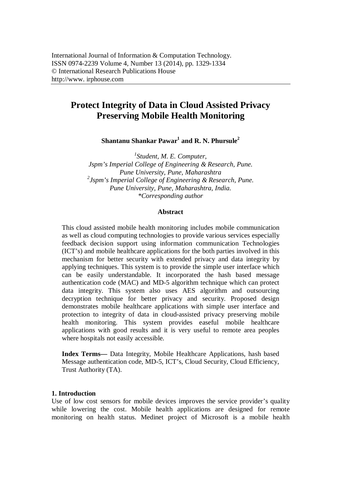# **Protect Integrity of Data in Cloud Assisted Privacy Preserving Mobile Health Monitoring**

**Shantanu Shankar Pawar<sup>1</sup> and R. N. Phursule<sup>2</sup>**

*1 Student, M. E. Computer, Jspm's Imperial College of Engineering & Research, Pune. Pune University, Pune, Maharashtra 2 Jspm's Imperial College of Engineering & Research, Pune. Pune University, Pune, Maharashtra, India. \*Corresponding author*

#### **Abstract**

This cloud assisted mobile health monitoring includes mobile communication as well as cloud computing technologies to provide various services especially feedback decision support using information communication Technologies (ICT's) and mobile healthcare applications for the both parties involved in this mechanism for better security with extended privacy and data integrity by applying techniques. This system is to provide the simple user interface which can be easily understandable. It incorporated the hash based message authentication code (MAC) and MD-5 algorithm technique which can protect data integrity. This system also uses AES algorithm and outsourcing decryption technique for better privacy and security. Proposed design demonstrates mobile healthcare applications with simple user interface and protection to integrity of data in cloud-assisted privacy preserving mobile health monitoring. This system provides easeful mobile healthcare applications with good results and it is very useful to remote area peoples where hospitals not easily accessible.

**Index Terms—** Data Integrity, Mobile Healthcare Applications, hash based Message authentication code, MD-5, ICT's, Cloud Security, Cloud Efficiency, Trust Authority (TA).

#### **1. Introduction**

Use of low cost sensors for mobile devices improves the service provider's quality while lowering the cost. Mobile health applications are designed for remote monitoring on health status. Medinet project of Microsoft is a mobile health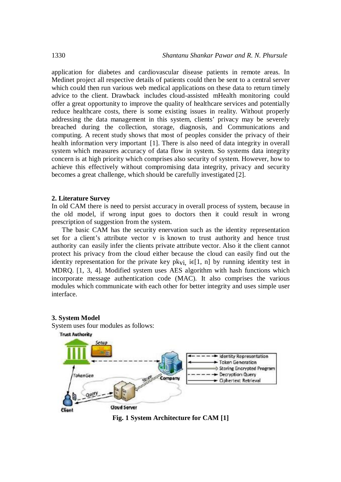application for diabetes and cardiovascular disease patients in remote areas. In Medinet project all respective details of patients could then be sent to a central server which could then run various web medical applications on these data to return timely advice to the client. Drawback includes cloud-assisted mHealth monitoring could offer a great opportunity to improve the quality of healthcare services and potentially reduce healthcare costs, there is some existing issues in reality. Without properly addressing the data management in this system, clients' privacy may be severely breached during the collection, storage, diagnosis, and Communications and computing. A recent study shows that most of peoples consider the privacy of their health information very important [1]. There is also need of data integrity in overall system which measures accuracy of data flow in system. So systems data integrity concern is at high priority which comprises also security of system. However, how to achieve this effectively without compromising data integrity, privacy and security becomes a great challenge, which should be carefully investigated [2].

#### **2. Literature Survey**

**3. System Model**

In old CAM there is need to persist accuracy in overall process of system, because in the old model, if wrong input goes to doctors then it could result in wrong prescription of suggestion from the system.

The basic CAM has the security enervation such as the identity representation set for a client's attribute vector v is known to trust authority and hence trust authority can easily infer the clients private attribute vector. Also it the client cannot protect his privacy from the cloud either because the cloud can easily find out the identity representation for the private key pk<sub>vi</sub> i $\epsilon$ [1, n] by running identity test in MDRQ. [1, 3, 4]. Modified system uses AES algorithm with hash functions which incorporate message authentication code (MAC). It also comprises the various modules which communicate with each other for better integrity and uses simple user interface.



**Fig. 1 System Architecture for CAM [1]**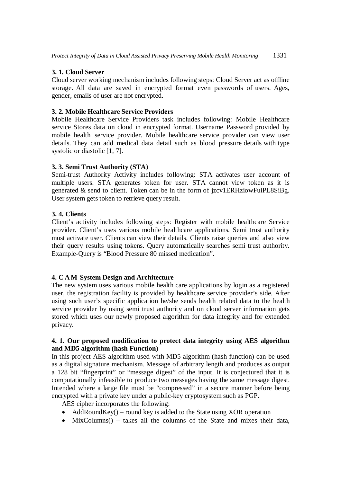# **3. 1. Cloud Server**

Cloud server working mechanism includes following steps: Cloud Server act as offline storage. All data are saved in encrypted format even passwords of users. Ages, gender, emails of user are not encrypted.

# **3. 2. Mobile Healthcare Service Providers**

Mobile Healthcare Service Providers task includes following: Mobile Healthcare service Stores data on cloud in encrypted format. Username Password provided by mobile health service provider. Mobile healthcare service provider can view user details. They can add medical data detail such as blood pressure details with type systolic or diastolic [1, 7].

# **3. 3. Semi Trust Authority (STA)**

Semi-trust Authority Activity includes following: STA activates user account of multiple users. STA generates token for user. STA cannot view token as it is generated & send to client. Token can be in the form of jzcv1ERHziowFuiPL8SiBg. User system gets token to retrieve query result.

# **3. 4. Clients**

Client's activity includes following steps: Register with mobile healthcare Service provider. Client's uses various mobile healthcare applications. Semi trust authority must activate user. Clients can view their details. Clients raise queries and also view their query results using tokens. Query automatically searches semi trust authority. Example-Query is "Blood Pressure 80 missed medication".

### **4. C A M System Design and Architecture**

The new system uses various mobile health care applications by login as a registered user, the registration facility is provided by healthcare service provider's side. After using such user's specific application he/she sends health related data to the health service provider by using semi trust authority and on cloud server information gets stored which uses our newly proposed algorithm for data integrity and for extended privacy.

### **4. 1. Our proposed modification to protect data integrity using AES algorithm and MD5 algorithm (hash Function)**

In this project AES algorithm used with MD5 algorithm (hash function) can be used as a digital signature mechanism. Message of arbitrary length and produces as output a 128 bit "fingerprint" or "message digest" of the input. It is conjectured that it is computationally infeasible to produce two messages having the same message digest. Intended where a large file must be "compressed" in a secure manner before being encrypted with a private key under a public-key cryptosystem such as PGP.

AES cipher incorporates the following:

- AddRoundKey() round key is added to the State using XOR operation
- MixColumns() takes all the columns of the State and mixes their data,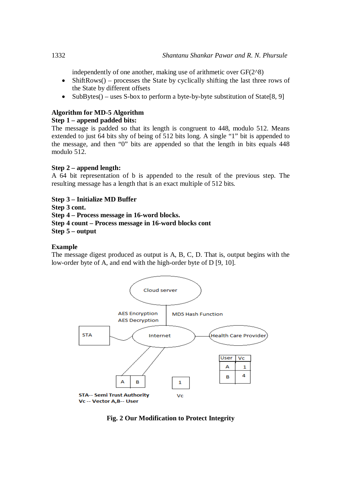independently of one another, making use of arithmetic over  $GF(2^8)$ 

- ShiftRows() processes the State by cyclically shifting the last three rows of the State by different offsets
- SubBytes() uses S-box to perform a byte-by-byte substitution of State[8, 9]

# **Algorithm for MD-5 Algorithm**

# **Step 1 – append padded bits:**

The message is padded so that its length is congruent to 448, modulo 512. Means extended to just 64 bits shy of being of 512 bits long. A single "1" bit is appended to the message, and then "0" bits are appended so that the length in bits equals 448 modulo 512.

# **Step 2 – append length:**

A 64 bit representation of b is appended to the result of the previous step. The resulting message has a length that is an exact multiple of 512 bits.

**Step 3 – Initialize MD Buffer**

**Step 3 cont.**

**Step 4 – Process message in 16-word blocks.**

**Step 4 count – Process message in 16-word blocks cont**

**Step 5 – output** 

### **Example**

The message digest produced as output is A, B, C, D. That is, output begins with the low-order byte of A, and end with the high-order byte of D [9, 10].



**Fig. 2 Our Modification to Protect Integrity**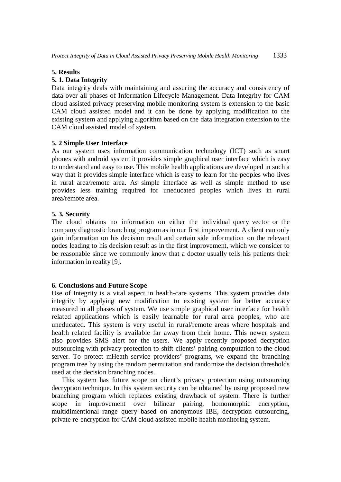#### **5. Results**

#### **5. 1. Data Integrity**

Data integrity deals with maintaining and assuring the accuracy and consistency of data over all phases of Information Lifecycle Management. Data Integrity for CAM cloud assisted privacy preserving mobile monitoring system is extension to the basic CAM cloud assisted model and it can be done by applying modification to the existing system and applying algorithm based on the data integration extension to the CAM cloud assisted model of system.

#### **5. 2 Simple User Interface**

As our system uses information communication technology (ICT) such as smart phones with android system it provides simple graphical user interface which is easy to understand and easy to use. This mobile health applications are developed in such a way that it provides simple interface which is easy to learn for the peoples who lives in rural area/remote area. As simple interface as well as simple method to use provides less training required for uneducated peoples which lives in rural area/remote area.

#### **5. 3. Security**

The cloud obtains no information on either the individual query vector or the company diagnostic branching program as in our first improvement. A client can only gain information on his decision result and certain side information on the relevant nodes leading to his decision result as in the first improvement, which we consider to be reasonable since we commonly know that a doctor usually tells his patients their information in reality [9].

#### **6. Conclusions and Future Scope**

Use of Integrity is a vital aspect in health-care systems. This system provides data integrity by applying new modification to existing system for better accuracy measured in all phases of system. We use simple graphical user interface for health related applications which is easily learnable for rural area peoples, who are uneducated. This system is very useful in rural/remote areas where hospitals and health related facility is available far away from their home. This newer system also provides SMS alert for the users. We apply recently proposed decryption outsourcing with privacy protection to shift clients' pairing computation to the cloud server. To protect mHeath service providers' programs, we expand the branching program tree by using the random permutation and randomize the decision thresholds used at the decision branching nodes.

This system has future scope on client's privacy protection using outsourcing decryption technique. In this system security can be obtained by using proposed new branching program which replaces existing drawback of system. There is further scope in improvement over bilinear pairing, homomorphic encryption, multidimentional range query based on anonymous IBE, decryption outsourcing, private re-encryption for CAM cloud assisted mobile health monitoring system.